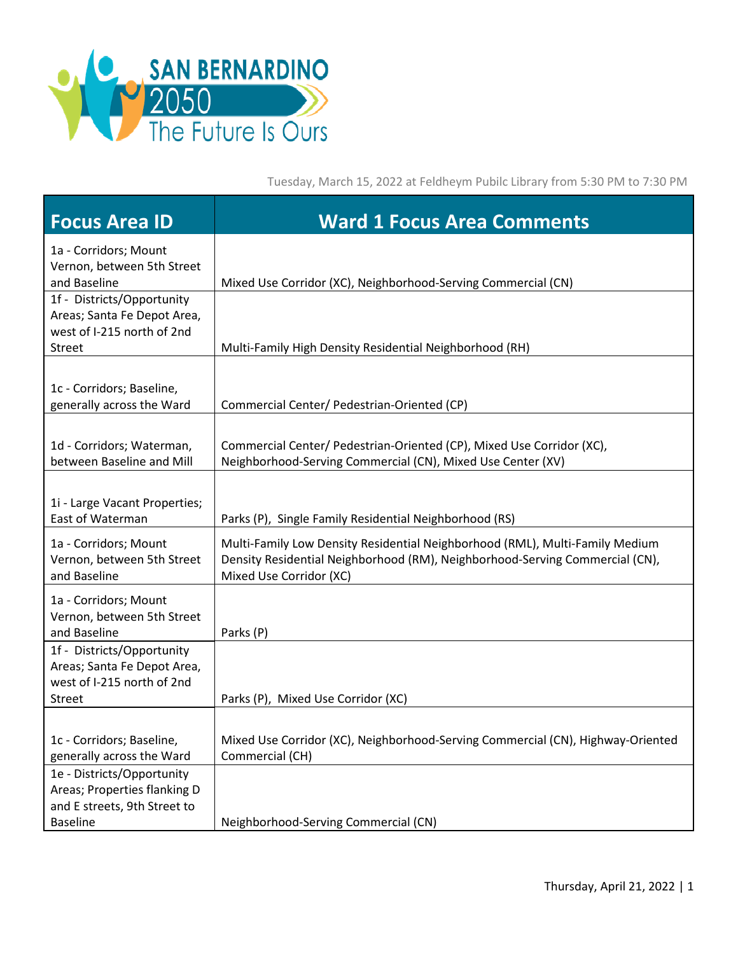

Tuesday, March 15, 2022 at Feldheym Pubilc Library from 5:30 PM to 7:30 PM

| <b>Focus Area ID</b>                                                                                     | <b>Ward 1 Focus Area Comments</b>                                                                                                                                                       |
|----------------------------------------------------------------------------------------------------------|-----------------------------------------------------------------------------------------------------------------------------------------------------------------------------------------|
| 1a - Corridors; Mount<br>Vernon, between 5th Street<br>and Baseline                                      | Mixed Use Corridor (XC), Neighborhood-Serving Commercial (CN)                                                                                                                           |
| 1f - Districts/Opportunity<br>Areas; Santa Fe Depot Area,<br>west of I-215 north of 2nd<br><b>Street</b> | Multi-Family High Density Residential Neighborhood (RH)                                                                                                                                 |
| 1c - Corridors; Baseline,<br>generally across the Ward                                                   | Commercial Center/ Pedestrian-Oriented (CP)                                                                                                                                             |
| 1d - Corridors; Waterman,<br>between Baseline and Mill                                                   | Commercial Center/ Pedestrian-Oriented (CP), Mixed Use Corridor (XC),<br>Neighborhood-Serving Commercial (CN), Mixed Use Center (XV)                                                    |
| 1i - Large Vacant Properties;<br>East of Waterman                                                        | Parks (P), Single Family Residential Neighborhood (RS)                                                                                                                                  |
| 1a - Corridors; Mount<br>Vernon, between 5th Street<br>and Baseline                                      | Multi-Family Low Density Residential Neighborhood (RML), Multi-Family Medium<br>Density Residential Neighborhood (RM), Neighborhood-Serving Commercial (CN),<br>Mixed Use Corridor (XC) |
| 1a - Corridors; Mount<br>Vernon, between 5th Street<br>and Baseline                                      | Parks (P)                                                                                                                                                                               |
| 1f - Districts/Opportunity<br>Areas; Santa Fe Depot Area,<br>west of I-215 north of 2nd<br><b>Street</b> | Parks (P), Mixed Use Corridor (XC)                                                                                                                                                      |
|                                                                                                          |                                                                                                                                                                                         |
| 1c - Corridors; Baseline,<br>generally across the Ward                                                   | Mixed Use Corridor (XC), Neighborhood-Serving Commercial (CN), Highway-Oriented<br>Commercial (CH)                                                                                      |
| 1e - Districts/Opportunity<br>Areas; Properties flanking D<br>and E streets, 9th Street to               |                                                                                                                                                                                         |
| <b>Baseline</b>                                                                                          | Neighborhood-Serving Commercial (CN)                                                                                                                                                    |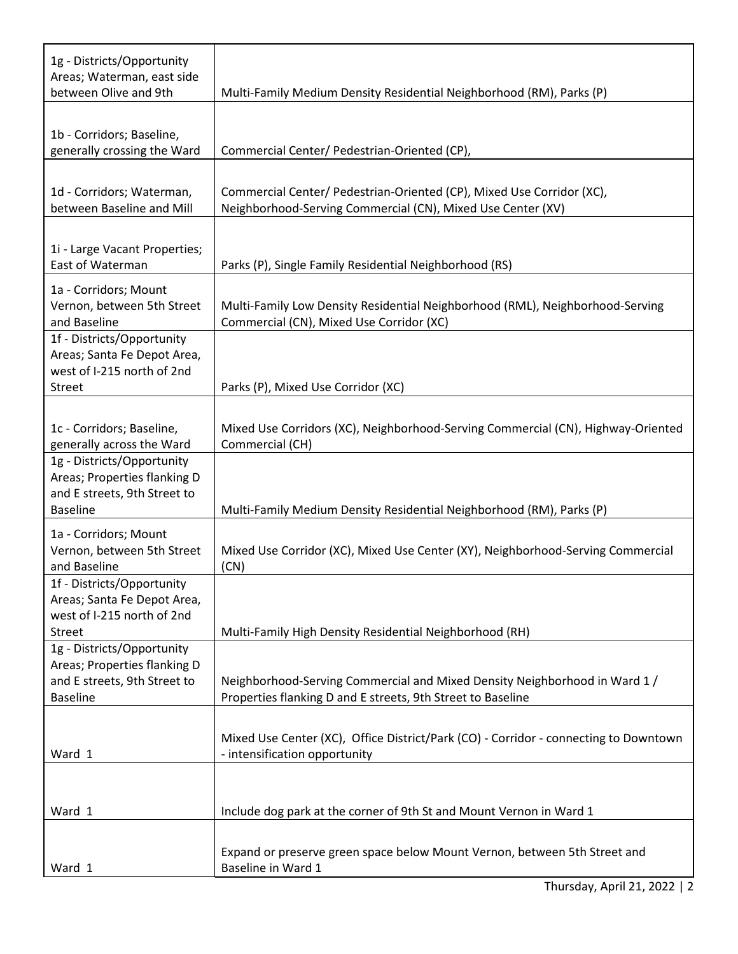| 1g - Districts/Opportunity<br>Areas; Waterman, east side<br>between Olive and 9th                             | Multi-Family Medium Density Residential Neighborhood (RM), Parks (P)                                                                      |
|---------------------------------------------------------------------------------------------------------------|-------------------------------------------------------------------------------------------------------------------------------------------|
|                                                                                                               |                                                                                                                                           |
| 1b - Corridors; Baseline,<br>generally crossing the Ward                                                      | Commercial Center/ Pedestrian-Oriented (CP),                                                                                              |
| 1d - Corridors; Waterman,<br>between Baseline and Mill                                                        | Commercial Center/ Pedestrian-Oriented (CP), Mixed Use Corridor (XC),<br>Neighborhood-Serving Commercial (CN), Mixed Use Center (XV)      |
| 1i - Large Vacant Properties;<br>East of Waterman                                                             | Parks (P), Single Family Residential Neighborhood (RS)                                                                                    |
| 1a - Corridors; Mount<br>Vernon, between 5th Street<br>and Baseline                                           | Multi-Family Low Density Residential Neighborhood (RML), Neighborhood-Serving<br>Commercial (CN), Mixed Use Corridor (XC)                 |
| 1f - Districts/Opportunity<br>Areas; Santa Fe Depot Area,<br>west of I-215 north of 2nd<br>Street             | Parks (P), Mixed Use Corridor (XC)                                                                                                        |
| 1c - Corridors; Baseline,<br>generally across the Ward                                                        | Mixed Use Corridors (XC), Neighborhood-Serving Commercial (CN), Highway-Oriented<br>Commercial (CH)                                       |
| 1g - Districts/Opportunity<br>Areas; Properties flanking D<br>and E streets, 9th Street to<br><b>Baseline</b> | Multi-Family Medium Density Residential Neighborhood (RM), Parks (P)                                                                      |
| 1a - Corridors; Mount<br>Vernon, between 5th Street<br>and Baseline                                           | Mixed Use Corridor (XC), Mixed Use Center (XY), Neighborhood-Serving Commercial<br>(CN)                                                   |
| 1f - Districts/Opportunity<br>Areas; Santa Fe Depot Area,<br>west of I-215 north of 2nd<br><b>Street</b>      | Multi-Family High Density Residential Neighborhood (RH)                                                                                   |
| 1g - Districts/Opportunity<br>Areas; Properties flanking D<br>and E streets, 9th Street to<br><b>Baseline</b> | Neighborhood-Serving Commercial and Mixed Density Neighborhood in Ward 1 /<br>Properties flanking D and E streets, 9th Street to Baseline |
| Ward 1                                                                                                        | Mixed Use Center (XC), Office District/Park (CO) - Corridor - connecting to Downtown<br>- intensification opportunity                     |
| Ward 1                                                                                                        | Include dog park at the corner of 9th St and Mount Vernon in Ward 1                                                                       |
| Ward 1                                                                                                        | Expand or preserve green space below Mount Vernon, between 5th Street and<br>Baseline in Ward 1                                           |